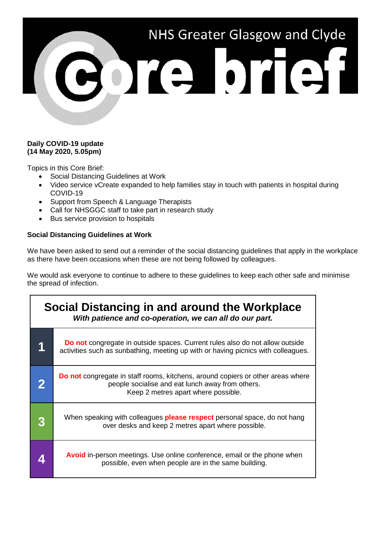# NHS Greater Glasgow and Clyde CORPOTES1

#### **Daily COVID-19 update (14 May 2020, 5.05pm)**

Topics in this Core Brief:

- Social Distancing Guidelines at Work
- Video service vCreate expanded to help families stay in touch with patients in hospital during COVID-19
- Support from Speech & Language Therapists
- Call for NHSGGC staff to take part in research study
- Bus service provision to hospitals

#### **Social Distancing Guidelines at Work**

We have been asked to send out a reminder of the social distancing guidelines that apply in the workplace as there have been occasions when these are not being followed by colleagues.

We would ask everyone to continue to adhere to these guidelines to keep each other safe and minimise the spread of infection.

| Social Distancing in and around the Workplace<br>With patience and co-operation, we can all do our part. |                                                                                                                                                                                   |
|----------------------------------------------------------------------------------------------------------|-----------------------------------------------------------------------------------------------------------------------------------------------------------------------------------|
| 1                                                                                                        | <b>Do not</b> congregate in outside spaces. Current rules also do not allow outside<br>activities such as sunbathing, meeting up with or having picnics with colleagues.          |
|                                                                                                          | <b>Do not</b> congregate in staff rooms, kitchens, around copiers or other areas where<br>people socialise and eat lunch away from others.<br>Keep 2 metres apart where possible. |
|                                                                                                          | When speaking with colleagues <b>please respect</b> personal space, do not hang<br>over desks and keep 2 metres apart where possible.                                             |
|                                                                                                          | <b>Avoid</b> in-person meetings. Use online conference, email or the phone when<br>possible, even when people are in the same building.                                           |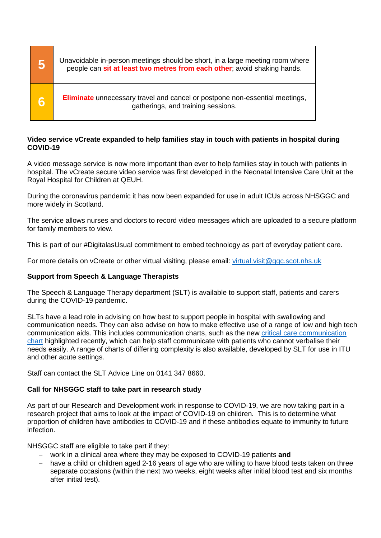| 5 | Unavoidable in-person meetings should be short, in a large meeting room where<br>people can sit at least two metres from each other; avoid shaking hands. |
|---|-----------------------------------------------------------------------------------------------------------------------------------------------------------|
| 6 | <b>Eliminate</b> unnecessary travel and cancel or postpone non-essential meetings,<br>gatherings, and training sessions.                                  |

#### **Video service vCreate expanded to help families stay in touch with patients in hospital during COVID-19**

A video message service is now more important than ever to help families stay in touch with patients in hospital. The vCreate secure video service was first developed in the Neonatal Intensive Care Unit at the Royal Hospital for Children at QEUH.

During the coronavirus pandemic it has now been expanded for use in adult ICUs across NHSGGC and more widely in Scotland.

The service allows nurses and doctors to record video messages which are uploaded to a secure platform for family members to view.

This is part of our #DigitalasUsual commitment to embed technology as part of everyday patient care.

For more details on vCreate or other virtual visiting, please email: [virtual.visit@ggc.scot.nhs.uk](mailto:virtual.visit@ggc.scot.nhs.uk)

#### **Support from Speech & Language Therapists**

The Speech & Language Therapy department (SLT) is available to support staff, patients and carers during the COVID-19 pandemic.

SLTs have a lead role in advising on how best to support people in hospital with swallowing and communication needs. They can also advise on how to make effective use of a range of low and high tech communication aids. This includes communication charts, such as the new [critical care communication](https://www.nhsggc.org.uk/media/259990/critical-care-covid-19-communication-chart-v3.pdf)  [chart](https://www.nhsggc.org.uk/media/259990/critical-care-covid-19-communication-chart-v3.pdf) highlighted recently, which can help staff communicate with patients who cannot verbalise their needs easily. A range of charts of differing complexity is also available, developed by SLT for use in ITU and other acute settings.

Staff can contact the SLT Advice Line on 0141 347 8660.

#### **Call for NHSGGC staff to take part in research study**

As part of our Research and Development work in response to COVID-19, we are now taking part in a research project that aims to look at the impact of COVID-19 on children. This is to determine what proportion of children have antibodies to COVID-19 and if these antibodies equate to immunity to future infection.

NHSGGC staff are eligible to take part if they:

- − work in a clinical area where they may be exposed to COVID-19 patients **and**
- have a child or children aged 2-16 years of age who are willing to have blood tests taken on three separate occasions (within the next two weeks, eight weeks after initial blood test and six months after initial test).